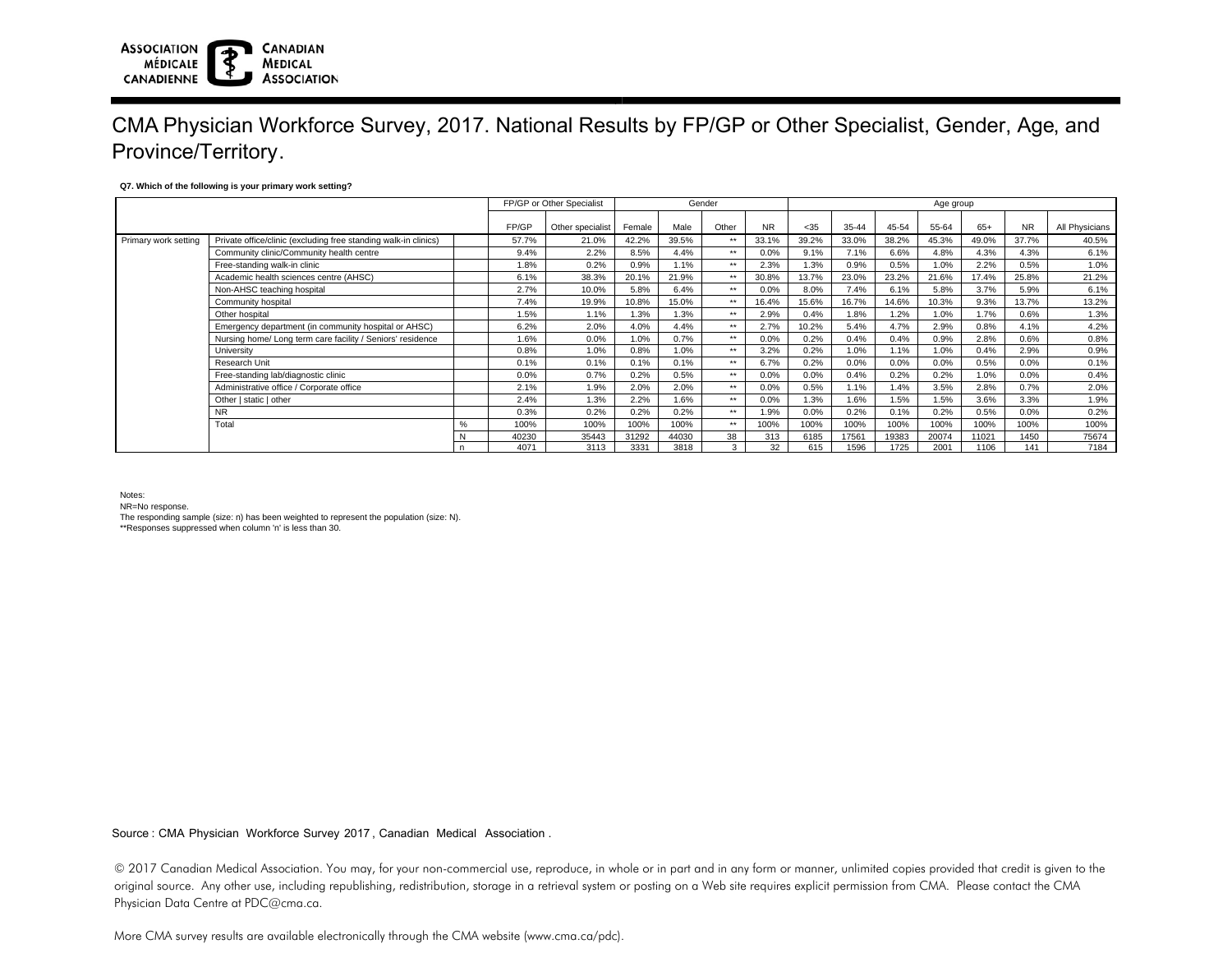#### **ASSOCIATION CANADIAN MÉDICALE MEDICAL ASSOCIATION** CANADIENNE

## CMA Physician Workforce Survey, 2017. National Results by FP/GP or Other Specialist, Gender, Age, and Province/Territory.

### **Q7. Which of the following is your primary work setting?**

|                      |                                                                 |    | FP/GP or Other Specialist |                  | Gender |       |               |           | Age group |       |       |       |       |           |                |  |
|----------------------|-----------------------------------------------------------------|----|---------------------------|------------------|--------|-------|---------------|-----------|-----------|-------|-------|-------|-------|-----------|----------------|--|
|                      |                                                                 |    |                           |                  |        |       |               |           |           |       |       |       |       |           |                |  |
|                      |                                                                 |    | FP/GP                     | Other specialist | Female | Male  | Other         | <b>NR</b> | $35$      | 35-44 | 45-54 | 55-64 | $65+$ | <b>NR</b> | All Physicians |  |
| Primary work setting | Private office/clinic (excluding free standing walk-in clinics) |    | 57.7%                     | 21.0%            | 42.2%  | 39.5% | **            | 33.1%     | 39.2%     | 33.0% | 38.2% | 45.3% | 49.0% | 37.7%     | 40.5%          |  |
|                      | Community clinic/Community health centre                        |    | 9.4%                      | 2.2%             | 8.5%   | 4.4%  | $**$          | 0.0%      | 9.1%      | 7.1%  | 6.6%  | 4.8%  | 4.3%  | 4.3%      | 6.1%           |  |
|                      | Free-standing walk-in clinic                                    |    | 1.8%                      | 0.2%             | 0.9%   | 1.1%  | $***$         | 2.3%      | 1.3%      | 0.9%  | 0.5%  | 1.0%  | 2.2%  | 0.5%      | 1.0%           |  |
|                      | Academic health sciences centre (AHSC)                          |    | 6.1%                      | 38.3%            | 20.1%  | 21.9% | $***$         | 30.8%     | 13.7%     | 23.0% | 23.2% | 21.6% | 17.4% | 25.8%     | 21.2%          |  |
|                      | Non-AHSC teaching hospital                                      |    | 2.7%                      | 10.0%            | 5.8%   | 6.4%  | **            | 0.0%      | 8.0%      | 7.4%  | 6.1%  | 5.8%  | 3.7%  | 5.9%      | 6.1%           |  |
|                      | Community hospital                                              |    | 7.4%                      | 19.9%            | 10.8%  | 15.0% | $***$         | 16.4%     | 15.6%     | 16.7% | 14.6% | 10.3% | 9.3%  | 13.7%     | 13.2%          |  |
|                      | Other hospital                                                  |    | 1.5%                      | 1.1%             | 1.3%   | 1.3%  | **            | 2.9%      | 0.4%      | 1.8%  | 1.2%  | 1.0%  | 1.7%  | 0.6%      | 1.3%           |  |
|                      | Emergency department (in community hospital or AHSC)            |    | 6.2%                      | 2.0%             | 4.0%   | 4.4%  | **            | 2.7%      | 10.2%     | 5.4%  | 4.7%  | 2.9%  | 0.8%  | 4.1%      | 4.2%           |  |
|                      | Nursing home/ Long term care facility / Seniors' residence      |    | 1.6%                      | 0.0%             | 1.0%   | 0.7%  | **            | 0.0%      | 0.2%      | 0.4%  | 0.4%  | 0.9%  | 2.8%  | 0.6%      | 0.8%           |  |
|                      | University                                                      |    | 0.8%                      | 1.0%             | 0.8%   | 1.0%  | **            | 3.2%      | 0.2%      | 1.0%  | 1.1%  | 1.0%  | 0.4%  | 2.9%      | 0.9%           |  |
|                      | Research Unit                                                   |    | 0.1%                      | 0.1%             | 0.1%   | 0.1%  | $**$          | 6.7%      | 0.2%      | 0.0%  | 0.0%  | 0.0%  | 0.5%  | 0.0%      | 0.1%           |  |
|                      | Free-standing lab/diagnostic clinic                             |    | 0.0%                      | 0.7%             | 0.2%   | 0.5%  | $***$         | 0.0%      | 0.0%      | 0.4%  | 0.2%  | 0.2%  | 1.0%  | 0.0%      | 0.4%           |  |
|                      | Administrative office / Corporate office                        |    | 2.1%                      | 1.9%             | 2.0%   | 2.0%  | $***$         | 0.0%      | 0.5%      | 1.1%  | 1.4%  | 3.5%  | 2.8%  | 0.7%      | 2.0%           |  |
|                      | Other   static   other                                          |    | 2.4%                      | 1.3%             | 2.2%   | 1.6%  | **            | 0.0%      | 1.3%      | 1.6%  | 1.5%  | 1.5%  | 3.6%  | 3.3%      | 1.9%           |  |
|                      | <b>NR</b>                                                       |    | 0.3%                      | 0.2%             | 0.2%   | 0.2%  | $***$         | 1.9%      | 0.0%      | 0.2%  | 0.1%  | 0.2%  | 0.5%  | 0.0%      | 0.2%           |  |
|                      | Total                                                           | %  | 100%                      | 100%             | 100%   | 100%  | **            | 100%      | 100%      | 100%  | 100%  | 100%  | 100%  | 100%      | 100%           |  |
|                      |                                                                 | N  | 40230                     | 35443            | 31292  | 44030 | 38            | 313       | 6185      | 17561 | 19383 | 20074 | 11021 | 1450      | 75674          |  |
|                      |                                                                 | n. | 4071                      | 3113             | 3331   | 3818  | $\mathcal{R}$ | 32        | 615       | 1596  | 1725  | 2001  | 1106  | 141       | 7184           |  |

Notes:

NR=No response.

The responding sample (size: n) has been weighted to represent the population (size: N). \*\*Responses suppressed when column 'n' is less than 30.

Source : CMA Physician Workforce Survey 2017, Canadian Medical Association .

© 2017 Canadian Medical Association. You may, for your non-commercial use, reproduce, in whole or in part and in any form or manner, unlimited copies provided that credit is given to the original source. Any other use, including republishing, redistribution, storage in a retrieval system or posting on a Web site requires explicit permission from CMA. Please contact the CMA Physician Data Centre at PDC@cma.ca.

More CMA survey results are available electronically through the CMA website (www.cma.ca/pdc).